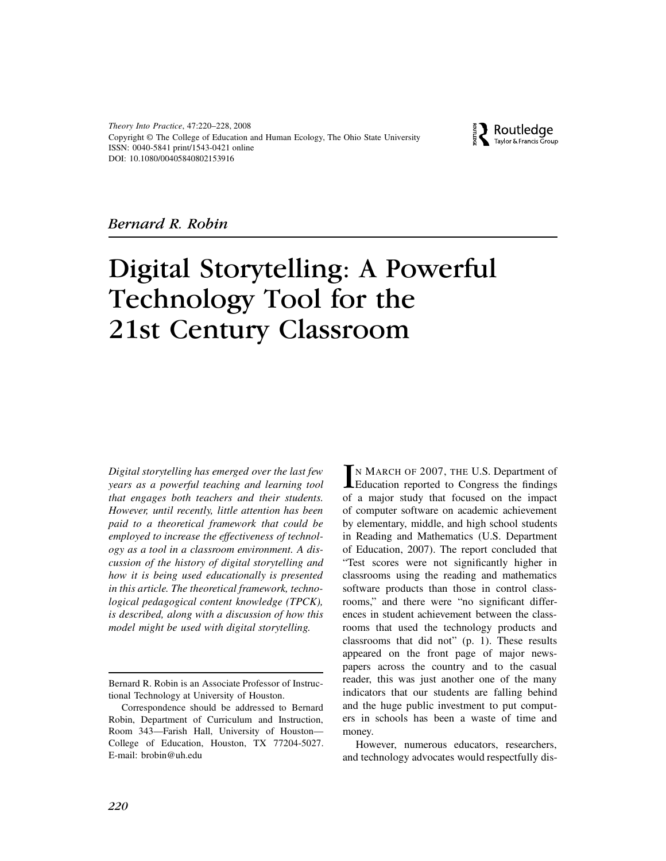Theory Into Practice, 47:220–228, 2008 Copyright © The College of Education and Human Ecology, The Ohio State University ISSN: 0040-5841 print/1543-0421 online DOI: 10.1080/00405840802153916



# Bernard R. Robin

# Digital Storytelling: A Powerful Technology Tool for the 21st Century Classroom

Digital storytelling has emerged over the last few years as a powerful teaching and learning tool that engages both teachers and their students. However, until recently, little attention has been paid to a theoretical framework that could be employed to increase the effectiveness of technology as a tool in a classroom environment. A discussion of the history of digital storytelling and how it is being used educationally is presented in this article. The theoretical framework, technological pedagogical content knowledge (TPCK), is described, along with a discussion of how this model might be used with digital storytelling.

IN MARCH OF 2007, THE U.S. Department of<br>Education reported to Congress the findings N MARCH OF 2007, THE U.S. Department of of a major study that focused on the impact of computer software on academic achievement by elementary, middle, and high school students in Reading and Mathematics (U.S. Department of Education, 2007). The report concluded that "Test scores were not significantly higher in classrooms using the reading and mathematics software products than those in control classrooms," and there were "no significant differences in student achievement between the classrooms that used the technology products and classrooms that did not" (p. 1). These results appeared on the front page of major newspapers across the country and to the casual reader, this was just another one of the many indicators that our students are falling behind and the huge public investment to put computers in schools has been a waste of time and money.

However, numerous educators, researchers, and technology advocates would respectfully dis-

Bernard R. Robin is an Associate Professor of Instructional Technology at University of Houston.

Correspondence should be addressed to Bernard Robin, Department of Curriculum and Instruction, Room 343—Farish Hall, University of Houston— College of Education, Houston, TX 77204-5027. E-mail: brobin@uh.edu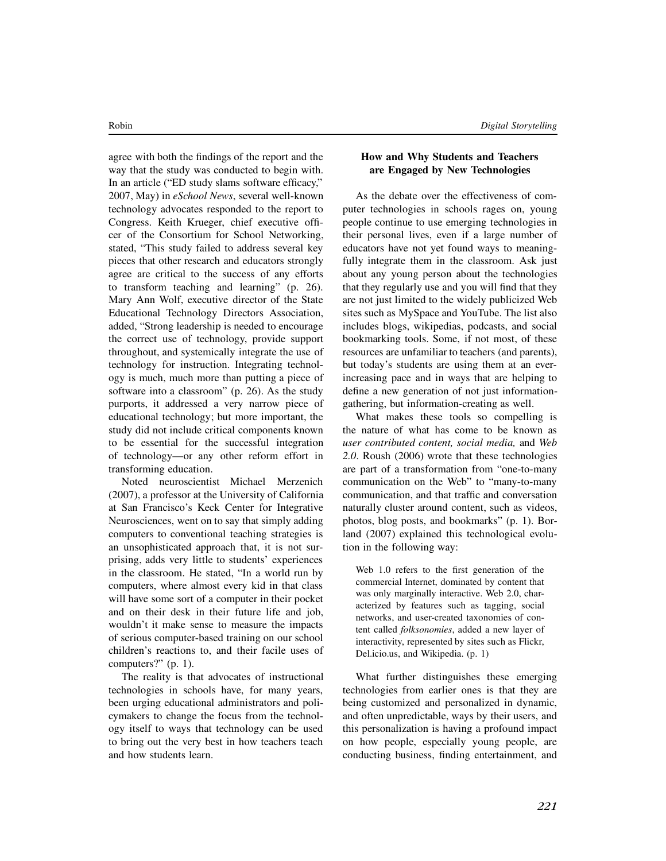agree with both the findings of the report and the way that the study was conducted to begin with. In an article ("ED study slams software efficacy," 2007, May) in eSchool News, several well-known technology advocates responded to the report to Congress. Keith Krueger, chief executive officer of the Consortium for School Networking, stated, "This study failed to address several key pieces that other research and educators strongly agree are critical to the success of any efforts to transform teaching and learning" (p. 26). Mary Ann Wolf, executive director of the State Educational Technology Directors Association, added, "Strong leadership is needed to encourage the correct use of technology, provide support throughout, and systemically integrate the use of technology for instruction. Integrating technology is much, much more than putting a piece of software into a classroom" (p. 26). As the study purports, it addressed a very narrow piece of educational technology; but more important, the study did not include critical components known to be essential for the successful integration of technology—or any other reform effort in transforming education.

Noted neuroscientist Michael Merzenich (2007), a professor at the University of California at San Francisco's Keck Center for Integrative Neurosciences, went on to say that simply adding computers to conventional teaching strategies is an unsophisticated approach that, it is not surprising, adds very little to students' experiences in the classroom. He stated, "In a world run by computers, where almost every kid in that class will have some sort of a computer in their pocket and on their desk in their future life and job, wouldn't it make sense to measure the impacts of serious computer-based training on our school children's reactions to, and their facile uses of computers?" (p. 1).

The reality is that advocates of instructional technologies in schools have, for many years, been urging educational administrators and policymakers to change the focus from the technology itself to ways that technology can be used to bring out the very best in how teachers teach and how students learn.

## How and Why Students and Teachers are Engaged by New Technologies

As the debate over the effectiveness of computer technologies in schools rages on, young people continue to use emerging technologies in their personal lives, even if a large number of educators have not yet found ways to meaningfully integrate them in the classroom. Ask just about any young person about the technologies that they regularly use and you will find that they are not just limited to the widely publicized Web sites such as MySpace and YouTube. The list also includes blogs, wikipedias, podcasts, and social bookmarking tools. Some, if not most, of these resources are unfamiliar to teachers (and parents), but today's students are using them at an everincreasing pace and in ways that are helping to define a new generation of not just informationgathering, but information-creating as well.

What makes these tools so compelling is the nature of what has come to be known as user contributed content, social media, and Web 2.0. Roush (2006) wrote that these technologies are part of a transformation from "one-to-many communication on the Web" to "many-to-many communication, and that traffic and conversation naturally cluster around content, such as videos, photos, blog posts, and bookmarks" (p. 1). Borland (2007) explained this technological evolution in the following way:

Web 1.0 refers to the first generation of the commercial Internet, dominated by content that was only marginally interactive. Web 2.0, characterized by features such as tagging, social networks, and user-created taxonomies of content called folksonomies, added a new layer of interactivity, represented by sites such as Flickr, Del.icio.us, and Wikipedia. (p. 1)

What further distinguishes these emerging technologies from earlier ones is that they are being customized and personalized in dynamic, and often unpredictable, ways by their users, and this personalization is having a profound impact on how people, especially young people, are conducting business, finding entertainment, and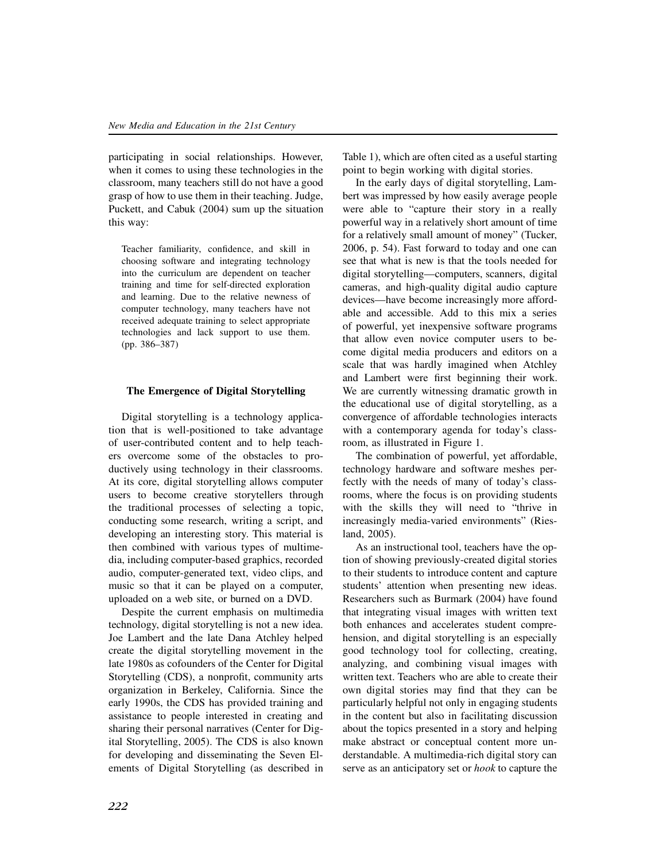participating in social relationships. However, when it comes to using these technologies in the classroom, many teachers still do not have a good grasp of how to use them in their teaching. Judge, Puckett, and Cabuk (2004) sum up the situation this way:

Teacher familiarity, confidence, and skill in choosing software and integrating technology into the curriculum are dependent on teacher training and time for self-directed exploration and learning. Due to the relative newness of computer technology, many teachers have not received adequate training to select appropriate technologies and lack support to use them. (pp. 386–387)

#### The Emergence of Digital Storytelling

Digital storytelling is a technology application that is well-positioned to take advantage of user-contributed content and to help teachers overcome some of the obstacles to productively using technology in their classrooms. At its core, digital storytelling allows computer users to become creative storytellers through the traditional processes of selecting a topic, conducting some research, writing a script, and developing an interesting story. This material is then combined with various types of multimedia, including computer-based graphics, recorded audio, computer-generated text, video clips, and music so that it can be played on a computer, uploaded on a web site, or burned on a DVD.

Despite the current emphasis on multimedia technology, digital storytelling is not a new idea. Joe Lambert and the late Dana Atchley helped create the digital storytelling movement in the late 1980s as cofounders of the Center for Digital Storytelling (CDS), a nonprofit, community arts organization in Berkeley, California. Since the early 1990s, the CDS has provided training and assistance to people interested in creating and sharing their personal narratives (Center for Digital Storytelling, 2005). The CDS is also known for developing and disseminating the Seven Elements of Digital Storytelling (as described in Table 1), which are often cited as a useful starting point to begin working with digital stories.

In the early days of digital storytelling, Lambert was impressed by how easily average people were able to "capture their story in a really powerful way in a relatively short amount of time for a relatively small amount of money" (Tucker, 2006, p. 54). Fast forward to today and one can see that what is new is that the tools needed for digital storytelling—computers, scanners, digital cameras, and high-quality digital audio capture devices—have become increasingly more affordable and accessible. Add to this mix a series of powerful, yet inexpensive software programs that allow even novice computer users to become digital media producers and editors on a scale that was hardly imagined when Atchley and Lambert were first beginning their work. We are currently witnessing dramatic growth in the educational use of digital storytelling, as a convergence of affordable technologies interacts with a contemporary agenda for today's classroom, as illustrated in Figure 1.

The combination of powerful, yet affordable, technology hardware and software meshes perfectly with the needs of many of today's classrooms, where the focus is on providing students with the skills they will need to "thrive in increasingly media-varied environments" (Riesland, 2005).

As an instructional tool, teachers have the option of showing previously-created digital stories to their students to introduce content and capture students' attention when presenting new ideas. Researchers such as Burmark (2004) have found that integrating visual images with written text both enhances and accelerates student comprehension, and digital storytelling is an especially good technology tool for collecting, creating, analyzing, and combining visual images with written text. Teachers who are able to create their own digital stories may find that they can be particularly helpful not only in engaging students in the content but also in facilitating discussion about the topics presented in a story and helping make abstract or conceptual content more understandable. A multimedia-rich digital story can serve as an anticipatory set or hook to capture the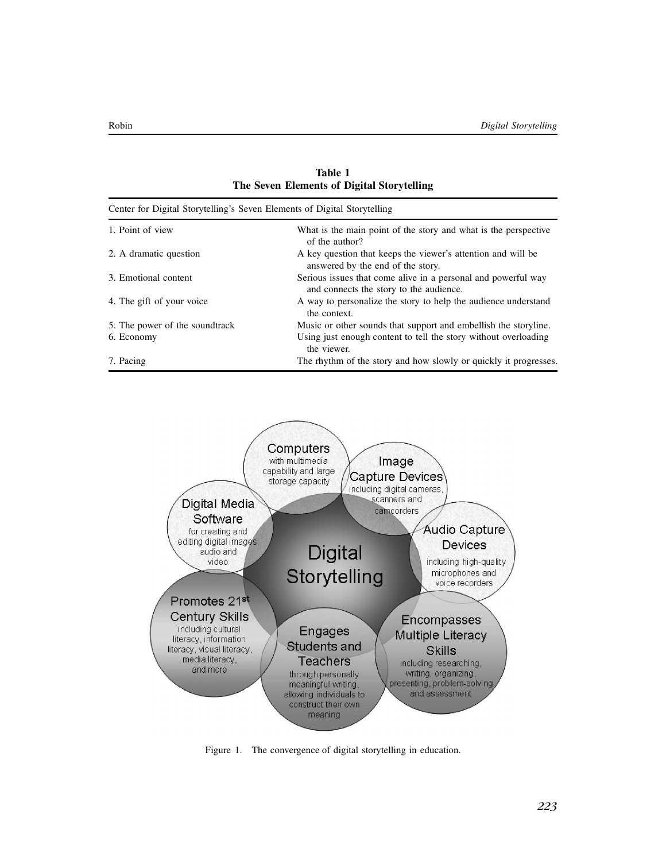| Center for Digital Storytelling's Seven Elements of Digital Storytelling |                                                                                                          |
|--------------------------------------------------------------------------|----------------------------------------------------------------------------------------------------------|
| 1. Point of view                                                         | What is the main point of the story and what is the perspective<br>of the author?                        |
| 2. A dramatic question                                                   | A key question that keeps the viewer's attention and will be<br>answered by the end of the story.        |
| 3. Emotional content                                                     | Serious issues that come alive in a personal and powerful way<br>and connects the story to the audience. |
| 4. The gift of your voice                                                | A way to personalize the story to help the audience understand<br>the context.                           |
| 5. The power of the soundtrack                                           | Music or other sounds that support and embellish the storyline.                                          |
| 6. Economy                                                               | Using just enough content to tell the story without overloading<br>the viewer.                           |
| 7. Pacing                                                                | The rhythm of the story and how slowly or quickly it progresses.                                         |

Table 1 The Seven Elements of Digital Storytelling



Figure 1. The convergence of digital storytelling in education.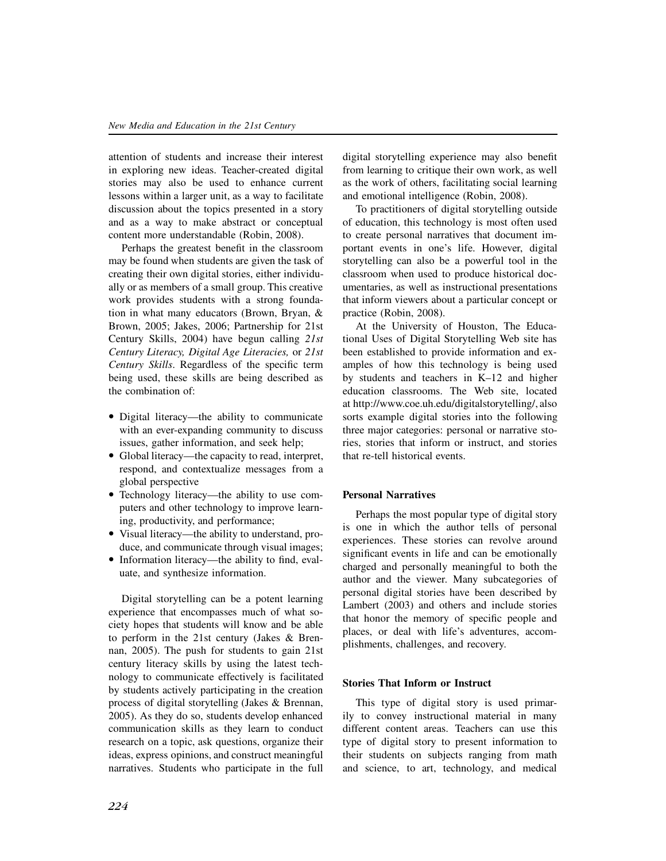attention of students and increase their interest in exploring new ideas. Teacher-created digital stories may also be used to enhance current lessons within a larger unit, as a way to facilitate discussion about the topics presented in a story and as a way to make abstract or conceptual content more understandable (Robin, 2008).

Perhaps the greatest benefit in the classroom may be found when students are given the task of creating their own digital stories, either individually or as members of a small group. This creative work provides students with a strong foundation in what many educators (Brown, Bryan, & Brown, 2005; Jakes, 2006; Partnership for 21st Century Skills, 2004) have begun calling 21st Century Literacy, Digital Age Literacies, or 21st Century Skills. Regardless of the specific term being used, these skills are being described as the combination of:

- Digital literacy—the ability to communicate with an ever-expanding community to discuss issues, gather information, and seek help;
- Global literacy—the capacity to read, interpret, respond, and contextualize messages from a global perspective
- Technology literacy—the ability to use computers and other technology to improve learning, productivity, and performance;
- Visual literacy—the ability to understand, produce, and communicate through visual images;
- Information literacy—the ability to find, evaluate, and synthesize information.

Digital storytelling can be a potent learning experience that encompasses much of what society hopes that students will know and be able to perform in the 21st century (Jakes & Brennan, 2005). The push for students to gain 21st century literacy skills by using the latest technology to communicate effectively is facilitated by students actively participating in the creation process of digital storytelling (Jakes & Brennan, 2005). As they do so, students develop enhanced communication skills as they learn to conduct research on a topic, ask questions, organize their ideas, express opinions, and construct meaningful narratives. Students who participate in the full digital storytelling experience may also benefit from learning to critique their own work, as well as the work of others, facilitating social learning and emotional intelligence (Robin, 2008).

To practitioners of digital storytelling outside of education, this technology is most often used to create personal narratives that document important events in one's life. However, digital storytelling can also be a powerful tool in the classroom when used to produce historical documentaries, as well as instructional presentations that inform viewers about a particular concept or practice (Robin, 2008).

At the University of Houston, The Educational Uses of Digital Storytelling Web site has been established to provide information and examples of how this technology is being used by students and teachers in K–12 and higher education classrooms. The Web site, located at http://www.coe.uh.edu/digitalstorytelling/, also sorts example digital stories into the following three major categories: personal or narrative stories, stories that inform or instruct, and stories that re-tell historical events.

#### Personal Narratives

Perhaps the most popular type of digital story is one in which the author tells of personal experiences. These stories can revolve around significant events in life and can be emotionally charged and personally meaningful to both the author and the viewer. Many subcategories of personal digital stories have been described by Lambert (2003) and others and include stories that honor the memory of specific people and places, or deal with life's adventures, accomplishments, challenges, and recovery.

#### Stories That Inform or Instruct

This type of digital story is used primarily to convey instructional material in many different content areas. Teachers can use this type of digital story to present information to their students on subjects ranging from math and science, to art, technology, and medical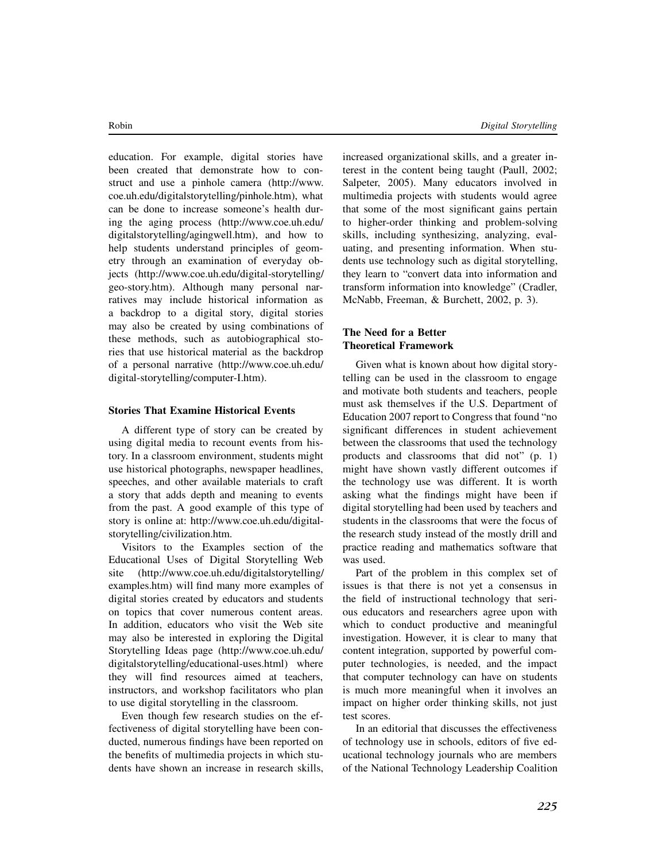education. For example, digital stories have been created that demonstrate how to construct and use a pinhole camera (http://www. coe.uh.edu/digitalstorytelling/pinhole.htm), what can be done to increase someone's health during the aging process (http://www.coe.uh.edu/ digitalstorytelling/agingwell.htm), and how to help students understand principles of geometry through an examination of everyday objects (http://www.coe.uh.edu/digital-storytelling/ geo-story.htm). Although many personal narratives may include historical information as a backdrop to a digital story, digital stories may also be created by using combinations of these methods, such as autobiographical stories that use historical material as the backdrop of a personal narrative (http://www.coe.uh.edu/ digital-storytelling/computer-I.htm).

#### Stories That Examine Historical Events

A different type of story can be created by using digital media to recount events from history. In a classroom environment, students might use historical photographs, newspaper headlines, speeches, and other available materials to craft a story that adds depth and meaning to events from the past. A good example of this type of story is online at: http://www.coe.uh.edu/digitalstorytelling/civilization.htm.

Visitors to the Examples section of the Educational Uses of Digital Storytelling Web site (http://www.coe.uh.edu/digitalstorytelling/ examples.htm) will find many more examples of digital stories created by educators and students on topics that cover numerous content areas. In addition, educators who visit the Web site may also be interested in exploring the Digital Storytelling Ideas page (http://www.coe.uh.edu/ digitalstorytelling/educational-uses.html) where they will find resources aimed at teachers, instructors, and workshop facilitators who plan to use digital storytelling in the classroom.

Even though few research studies on the effectiveness of digital storytelling have been conducted, numerous findings have been reported on the benefits of multimedia projects in which students have shown an increase in research skills, increased organizational skills, and a greater interest in the content being taught (Paull, 2002; Salpeter, 2005). Many educators involved in multimedia projects with students would agree that some of the most significant gains pertain to higher-order thinking and problem-solving skills, including synthesizing, analyzing, evaluating, and presenting information. When students use technology such as digital storytelling, they learn to "convert data into information and transform information into knowledge" (Cradler, McNabb, Freeman, & Burchett, 2002, p. 3).

## The Need for a Better Theoretical Framework

Given what is known about how digital storytelling can be used in the classroom to engage and motivate both students and teachers, people must ask themselves if the U.S. Department of Education 2007 report to Congress that found "no significant differences in student achievement between the classrooms that used the technology products and classrooms that did not" (p. 1) might have shown vastly different outcomes if the technology use was different. It is worth asking what the findings might have been if digital storytelling had been used by teachers and students in the classrooms that were the focus of the research study instead of the mostly drill and practice reading and mathematics software that was used.

Part of the problem in this complex set of issues is that there is not yet a consensus in the field of instructional technology that serious educators and researchers agree upon with which to conduct productive and meaningful investigation. However, it is clear to many that content integration, supported by powerful computer technologies, is needed, and the impact that computer technology can have on students is much more meaningful when it involves an impact on higher order thinking skills, not just test scores.

In an editorial that discusses the effectiveness of technology use in schools, editors of five educational technology journals who are members of the National Technology Leadership Coalition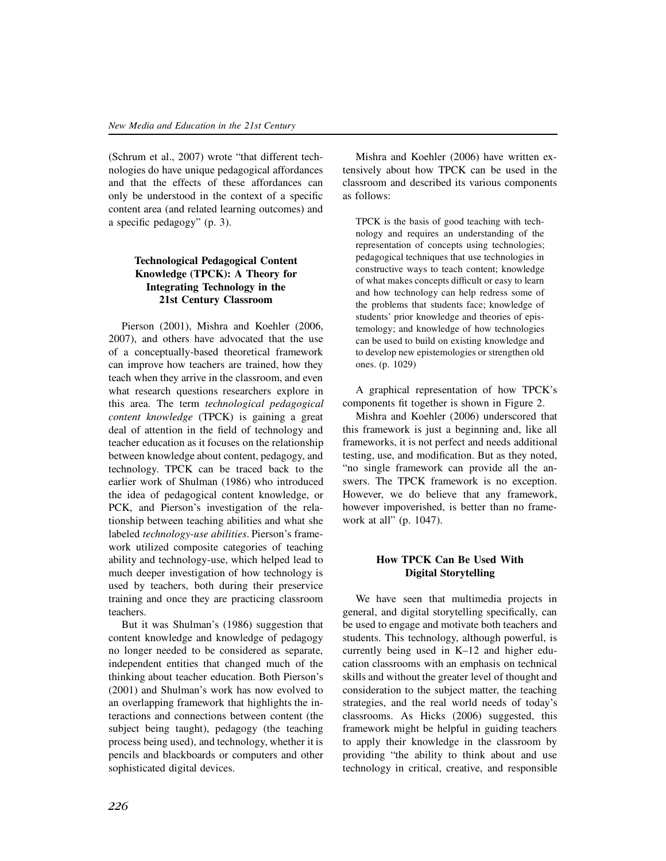(Schrum et al., 2007) wrote "that different technologies do have unique pedagogical affordances and that the effects of these affordances can only be understood in the context of a specific content area (and related learning outcomes) and a specific pedagogy" (p. 3).

# Technological Pedagogical Content Knowledge (TPCK): A Theory for Integrating Technology in the 21st Century Classroom

Pierson (2001), Mishra and Koehler (2006, 2007), and others have advocated that the use of a conceptually-based theoretical framework can improve how teachers are trained, how they teach when they arrive in the classroom, and even what research questions researchers explore in this area. The term technological pedagogical content knowledge (TPCK) is gaining a great deal of attention in the field of technology and teacher education as it focuses on the relationship between knowledge about content, pedagogy, and technology. TPCK can be traced back to the earlier work of Shulman (1986) who introduced the idea of pedagogical content knowledge, or PCK, and Pierson's investigation of the relationship between teaching abilities and what she labeled technology-use abilities. Pierson's framework utilized composite categories of teaching ability and technology-use, which helped lead to much deeper investigation of how technology is used by teachers, both during their preservice training and once they are practicing classroom teachers.

But it was Shulman's (1986) suggestion that content knowledge and knowledge of pedagogy no longer needed to be considered as separate, independent entities that changed much of the thinking about teacher education. Both Pierson's (2001) and Shulman's work has now evolved to an overlapping framework that highlights the interactions and connections between content (the subject being taught), pedagogy (the teaching process being used), and technology, whether it is pencils and blackboards or computers and other sophisticated digital devices.

Mishra and Koehler (2006) have written extensively about how TPCK can be used in the classroom and described its various components as follows:

TPCK is the basis of good teaching with technology and requires an understanding of the representation of concepts using technologies; pedagogical techniques that use technologies in constructive ways to teach content; knowledge of what makes concepts difficult or easy to learn and how technology can help redress some of the problems that students face; knowledge of students' prior knowledge and theories of epistemology; and knowledge of how technologies can be used to build on existing knowledge and to develop new epistemologies or strengthen old ones. (p. 1029)

A graphical representation of how TPCK's components fit together is shown in Figure 2.

Mishra and Koehler (2006) underscored that this framework is just a beginning and, like all frameworks, it is not perfect and needs additional testing, use, and modification. But as they noted, "no single framework can provide all the answers. The TPCK framework is no exception. However, we do believe that any framework, however impoverished, is better than no framework at all" (p. 1047).

# How TPCK Can Be Used With Digital Storytelling

We have seen that multimedia projects in general, and digital storytelling specifically, can be used to engage and motivate both teachers and students. This technology, although powerful, is currently being used in K–12 and higher education classrooms with an emphasis on technical skills and without the greater level of thought and consideration to the subject matter, the teaching strategies, and the real world needs of today's classrooms. As Hicks (2006) suggested, this framework might be helpful in guiding teachers to apply their knowledge in the classroom by providing "the ability to think about and use technology in critical, creative, and responsible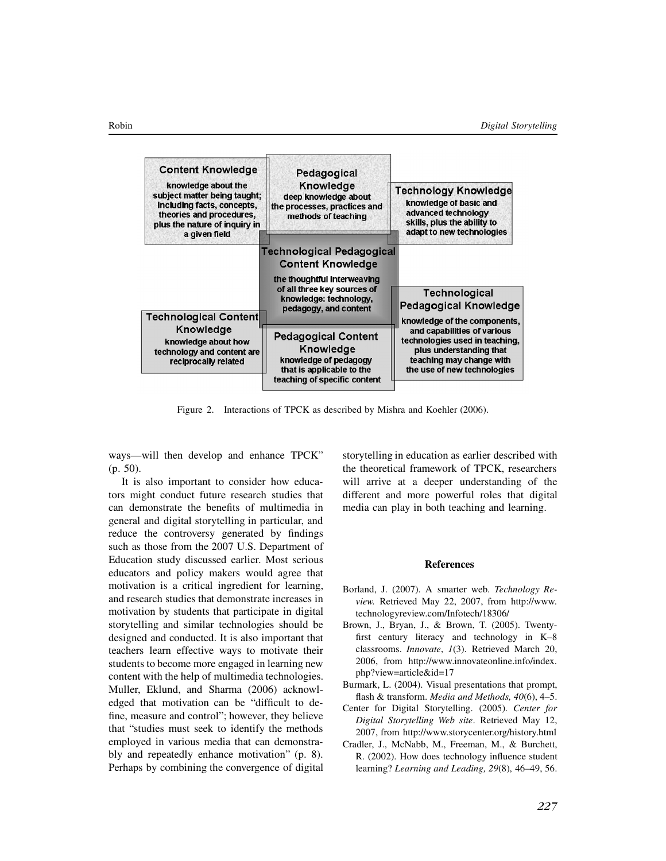

Figure 2. Interactions of TPCK as described by Mishra and Koehler (2006).

ways—will then develop and enhance TPCK" (p. 50).

It is also important to consider how educators might conduct future research studies that can demonstrate the benefits of multimedia in general and digital storytelling in particular, and reduce the controversy generated by findings such as those from the 2007 U.S. Department of Education study discussed earlier. Most serious educators and policy makers would agree that motivation is a critical ingredient for learning, and research studies that demonstrate increases in motivation by students that participate in digital storytelling and similar technologies should be designed and conducted. It is also important that teachers learn effective ways to motivate their students to become more engaged in learning new content with the help of multimedia technologies. Muller, Eklund, and Sharma (2006) acknowledged that motivation can be "difficult to define, measure and control"; however, they believe that "studies must seek to identify the methods employed in various media that can demonstrably and repeatedly enhance motivation" (p. 8). Perhaps by combining the convergence of digital

storytelling in education as earlier described with the theoretical framework of TPCK, researchers will arrive at a deeper understanding of the different and more powerful roles that digital media can play in both teaching and learning.

#### References

- Borland, J. (2007). A smarter web. Technology Review. Retrieved May 22, 2007, from http://www. technologyreview.com/Infotech/18306/
- Brown, J., Bryan, J., & Brown, T. (2005). Twentyfirst century literacy and technology in K–8 classrooms. Innovate, 1(3). Retrieved March 20, 2006, from http://www.innovateonline.info/index. php?view=article&id=17
- Burmark, L. (2004). Visual presentations that prompt, flash & transform. *Media and Methods*, 40(6), 4–5.
- Center for Digital Storytelling. (2005). Center for Digital Storytelling Web site. Retrieved May 12, 2007, from http://www.storycenter.org/history.html
- Cradler, J., McNabb, M., Freeman, M., & Burchett, R. (2002). How does technology influence student learning? Learning and Leading, 29(8), 46–49, 56.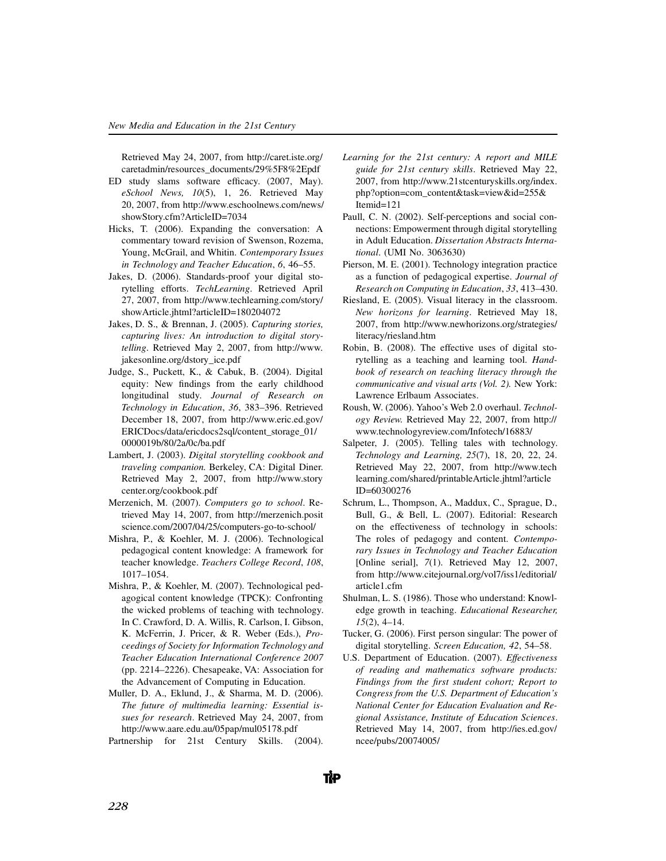Retrieved May 24, 2007, from http://caret.iste.org/ caretadmin/resources\_documents/29%5F8%2Epdf

- ED study slams software efficacy. (2007, May). eSchool News, 10(5), 1, 26. Retrieved May 20, 2007, from http://www.eschoolnews.com/news/ showStory.cfm?ArticleID=7034
- Hicks, T. (2006). Expanding the conversation: A commentary toward revision of Swenson, Rozema, Young, McGrail, and Whitin. Contemporary Issues in Technology and Teacher Education, 6, 46–55.
- Jakes, D. (2006). Standards-proof your digital storytelling efforts. TechLearning. Retrieved April 27, 2007, from http://www.techlearning.com/story/ showArticle.jhtml?articleID=180204072
- Jakes, D. S., & Brennan, J. (2005). Capturing stories, capturing lives: An introduction to digital storytelling. Retrieved May 2, 2007, from http://www. jakesonline.org/dstory\_ice.pdf
- Judge, S., Puckett, K., & Cabuk, B. (2004). Digital equity: New findings from the early childhood longitudinal study. Journal of Research on Technology in Education, 36, 383–396. Retrieved December 18, 2007, from http://www.eric.ed.gov/ ERICDocs/data/ericdocs2sql/content\_storage\_01/ 0000019b/80/2a/0c/ba.pdf
- Lambert, J. (2003). Digital storytelling cookbook and traveling companion. Berkeley, CA: Digital Diner. Retrieved May 2, 2007, from http://www.story center.org/cookbook.pdf
- Merzenich, M. (2007). Computers go to school. Retrieved May 14, 2007, from http://merzenich.posit science.com/2007/04/25/computers-go-to-school/
- Mishra, P., & Koehler, M. J. (2006). Technological pedagogical content knowledge: A framework for teacher knowledge. Teachers College Record, 108, 1017–1054.
- Mishra, P., & Koehler, M. (2007). Technological pedagogical content knowledge (TPCK): Confronting the wicked problems of teaching with technology. In C. Crawford, D. A. Willis, R. Carlson, I. Gibson, K. McFerrin, J. Pricer, & R. Weber (Eds.), Proceedings of Society for Information Technology and Teacher Education International Conference 2007 (pp. 2214–2226). Chesapeake, VA: Association for the Advancement of Computing in Education.
- Muller, D. A., Eklund, J., & Sharma, M. D. (2006). The future of multimedia learning: Essential issues for research. Retrieved May 24, 2007, from http://www.aare.edu.au/05pap/mul05178.pdf
- Partnership for 21st Century Skills. (2004).
- Learning for the 21st century: A report and MILE guide for 21st century skills. Retrieved May 22, 2007, from http://www.21stcenturyskills.org/index. php?option=com\_content&task=view&id=255& Itemid=121
- Paull, C. N. (2002). Self-perceptions and social connections: Empowerment through digital storytelling in Adult Education. Dissertation Abstracts International. (UMI No. 3063630)
- Pierson, M. E. (2001). Technology integration practice as a function of pedagogical expertise. Journal of Research on Computing in Education, 33, 413–430.
- Riesland, E. (2005). Visual literacy in the classroom. New horizons for learning. Retrieved May 18, 2007, from http://www.newhorizons.org/strategies/ literacy/riesland.htm
- Robin, B. (2008). The effective uses of digital storytelling as a teaching and learning tool. Handbook of research on teaching literacy through the communicative and visual arts (Vol. 2). New York: Lawrence Erlbaum Associates.
- Roush, W. (2006). Yahoo's Web 2.0 overhaul. Technology Review. Retrieved May 22, 2007, from http:// www.technologyreview.com/Infotech/16883/
- Salpeter, J. (2005). Telling tales with technology. Technology and Learning, 25(7), 18, 20, 22, 24. Retrieved May 22, 2007, from http://www.tech learning.com/shared/printableArticle.jhtml?article ID=60300276
- Schrum, L., Thompson, A., Maddux, C., Sprague, D., Bull, G., & Bell, L. (2007). Editorial: Research on the effectiveness of technology in schools: The roles of pedagogy and content. Contemporary Issues in Technology and Teacher Education [Online serial], 7(1). Retrieved May 12, 2007, from http://www.citejournal.org/vol7/iss1/editorial/ article1.cfm
- Shulman, L. S. (1986). Those who understand: Knowledge growth in teaching. Educational Researcher,  $15(2)$ , 4–14.
- Tucker, G. (2006). First person singular: The power of digital storytelling. Screen Education, 42, 54–58.
- U.S. Department of Education. (2007). Effectiveness of reading and mathematics software products: Findings from the first student cohort; Report to Congress from the U.S. Department of Education's National Center for Education Evaluation and Regional Assistance, Institute of Education Sciences. Retrieved May 14, 2007, from http://ies.ed.gov/ ncee/pubs/20074005/